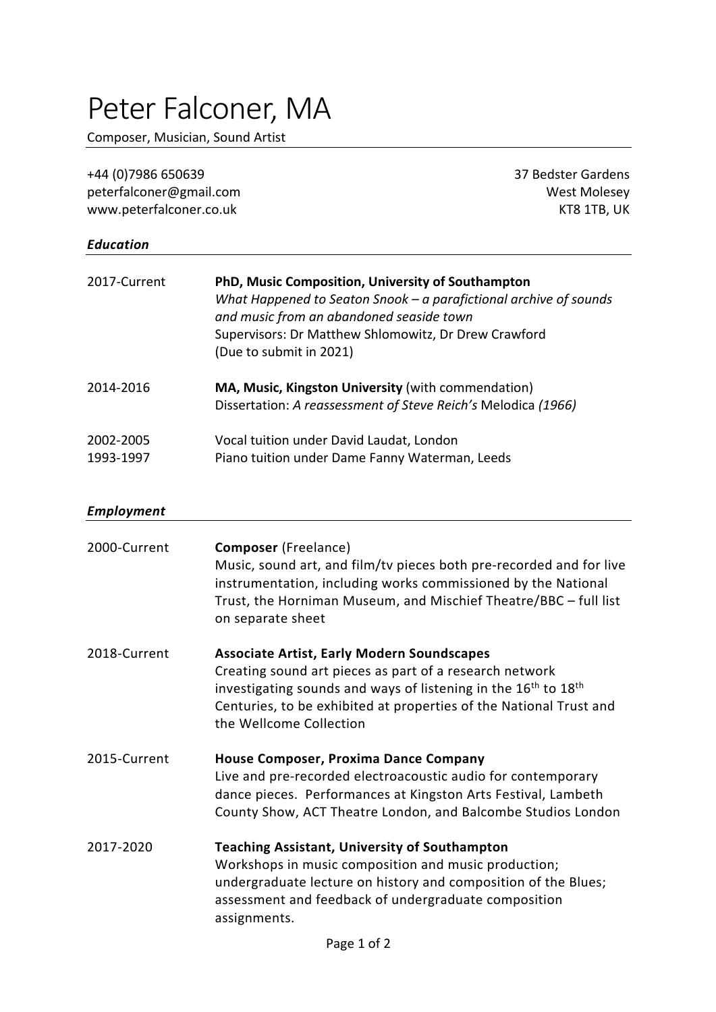## Peter Falconer, MA

Composer, Musician, Sound Artist

| +44 (0)7986 650639      | 37 Bedster Gardens |
|-------------------------|--------------------|
| peterfalconer@gmail.com | West Molesey       |
| www.peterfalconer.co.uk | KT8 1TB. UK        |
|                         |                    |

## *Education*

| 2017-Current           | PhD, Music Composition, University of Southampton<br>What Happened to Seaton Snook $-$ a parafictional archive of sounds<br>and music from an abandoned seaside town<br>Supervisors: Dr Matthew Shlomowitz, Dr Drew Crawford<br>(Due to submit in 2021) |
|------------------------|---------------------------------------------------------------------------------------------------------------------------------------------------------------------------------------------------------------------------------------------------------|
| 2014-2016              | MA, Music, Kingston University (with commendation)<br>Dissertation: A reassessment of Steve Reich's Melodica (1966)                                                                                                                                     |
| 2002-2005<br>1993-1997 | Vocal tuition under David Laudat, London<br>Piano tuition under Dame Fanny Waterman, Leeds                                                                                                                                                              |

## *Employment*

| 2000-Current | <b>Composer</b> (Freelance)<br>Music, sound art, and film/ty pieces both pre-recorded and for live<br>instrumentation, including works commissioned by the National<br>Trust, the Horniman Museum, and Mischief Theatre/BBC - full list<br>on separate sheet                                            |
|--------------|---------------------------------------------------------------------------------------------------------------------------------------------------------------------------------------------------------------------------------------------------------------------------------------------------------|
| 2018-Current | <b>Associate Artist, Early Modern Soundscapes</b><br>Creating sound art pieces as part of a research network<br>investigating sounds and ways of listening in the 16 <sup>th</sup> to 18 <sup>th</sup><br>Centuries, to be exhibited at properties of the National Trust and<br>the Wellcome Collection |
| 2015-Current | House Composer, Proxima Dance Company<br>Live and pre-recorded electroacoustic audio for contemporary<br>dance pieces. Performances at Kingston Arts Festival, Lambeth<br>County Show, ACT Theatre London, and Balcombe Studios London                                                                  |
| 2017-2020    | <b>Teaching Assistant, University of Southampton</b><br>Workshops in music composition and music production;<br>undergraduate lecture on history and composition of the Blues;<br>assessment and feedback of undergraduate composition<br>assignments.                                                  |
|              |                                                                                                                                                                                                                                                                                                         |